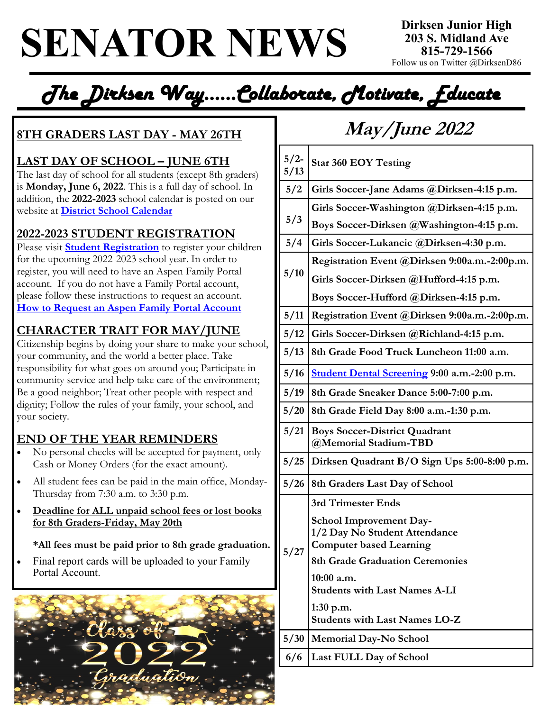## **SENATOR NEWS 203 S. Midland A**

**Dirksen Junior High 203 S. Midland Ave** Follow us on Twitter @DirksenD86

*The Dirksen Way…...Collaborate, Motivate, Educate* 

### **8TH GRADERS LAST DAY - MAY 26TH May/June 2022**

### **LAST DAY OF SCHOOL – JUNE 6TH**

The last day of school for all students (except 8th graders) is **Monday, June 6, 2022**. This is a full day of school. In addition, the **2022-2023** school calendar is posted on our website at **[District School Calendar](https://www.joliet86.org/assets/1/17/2022%20%202023_D86_School_Calendar_En_Sp.pdf?25253)**

### **2022-2023 STUDENT REGISTRATION**

Please visit **[Student Registration](https://www.joliet86.org/students-parents/student-registration/)** to register your children for the upcoming 2022-2023 school year. In order to register, you will need to have an Aspen Family Portal account. If you do not have a Family Portal account, please follow these instructions to request an account. **[How to Request an Aspen Family Portal Account](https://www.joliet86.org/assets/1/6/How_to_Request_an_Aspen_Family_Portal_Account_)**

### **CHARACTER TRAIT FOR MAY/JUNE**

Citizenship begins by doing your share to make your school, your community, and the world a better place. Take responsibility for what goes on around you; Participate in community service and help take care of the environment; Be a good neighbor; Treat other people with respect and dignity; Follow the rules of your family, your school, and your society.

### **END OF THE YEAR REMINDERS**

- No personal checks will be accepted for payment, only Cash or Money Orders (for the exact amount).
- All student fees can be paid in the main office, Monday-Thursday from 7:30 a.m. to 3:30 p.m.
- **Deadline for ALL unpaid school fees or lost books for 8th Graders-Friday, May 20th**

#### **\*All fees must be paid prior to 8th grade graduation.**

Final report cards will be uploaded to your Family Portal Account.



| $5/2-$<br>5/13 | <b>Star 360 EOY Testing</b>                                     |
|----------------|-----------------------------------------------------------------|
| 5/2            | Girls Soccer-Jane Adams @Dirksen-4:15 p.m.                      |
| 5/3            | Girls Soccer-Washington @Dirksen-4:15 p.m.                      |
|                | Boys Soccer-Dirksen @Washington-4:15 p.m.                       |
| 5/4            | Girls Soccer-Lukancic @Dirksen-4:30 p.m.                        |
| 5/10           | Registration Event @Dirksen 9:00a.m.-2:00p.m.                   |
|                | Girls Soccer-Dirksen @Hufford-4:15 p.m.                         |
|                | Boys Soccer-Hufford @Dirksen-4:15 p.m.                          |
| 5/11           | Registration Event @Dirksen 9:00a.m.-2:00p.m.                   |
| 5/12           | Girls Soccer-Dirksen @Richland-4:15 p.m.                        |
| 5/13           | 8th Grade Food Truck Luncheon 11:00 a.m.                        |
| 5/16           | Student Dental Screening 9:00 a.m.-2:00 p.m.                    |
| 5/19           | 8th Grade Sneaker Dance 5:00-7:00 p.m.                          |
| 5/20           | 8th Grade Field Day 8:00 a.m.-1:30 p.m.                         |
| 5/21           | <b>Boys Soccer-District Quadrant</b><br>@Memorial Stadium-TBD   |
| 5/25           | Dirksen Quadrant B/O Sign Ups 5:00-8:00 p.m.                    |
| 5/26           | 8th Graders Last Day of School                                  |
| 5/27           | 3rd Trimester Ends                                              |
|                | <b>School Improvement Day-</b>                                  |
|                | 1/2 Day No Student Attendance<br><b>Computer based Learning</b> |
|                | <b>8th Grade Graduation Ceremonies</b>                          |
|                | 10:00 a.m.                                                      |
|                | <b>Students with Last Names A-LI</b>                            |
|                | $1:30$ p.m.<br><b>Students with Last Names LO-Z</b>             |
| 5/30           | Memorial Day-No School                                          |
| 6/6            | Last FULL Day of School                                         |